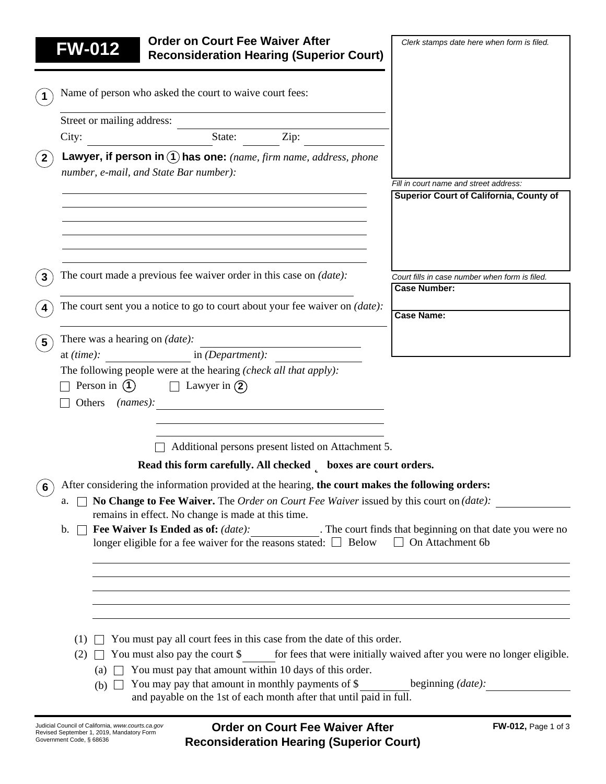|                  | <b>Order on Court Fee Waiver After</b><br><b>FW-012</b><br><b>Reconsideration Hearing (Superior Court)</b>                                                                                       | Clerk stamps date here when form is filed.                                        |
|------------------|--------------------------------------------------------------------------------------------------------------------------------------------------------------------------------------------------|-----------------------------------------------------------------------------------|
|                  |                                                                                                                                                                                                  |                                                                                   |
| $\mathbf 1$      | Name of person who asked the court to waive court fees:                                                                                                                                          |                                                                                   |
|                  | Street or mailing address:                                                                                                                                                                       |                                                                                   |
|                  | Zip:<br>State:<br>City:                                                                                                                                                                          |                                                                                   |
| $($ 2 $^{\circ}$ | Lawyer, if person in $\left(1\right)$ has one: (name, firm name, address, phone                                                                                                                  |                                                                                   |
|                  | number, e-mail, and State Bar number):                                                                                                                                                           |                                                                                   |
|                  |                                                                                                                                                                                                  | Fill in court name and street address:<br>Superior Court of California, County of |
|                  |                                                                                                                                                                                                  |                                                                                   |
|                  |                                                                                                                                                                                                  |                                                                                   |
|                  |                                                                                                                                                                                                  |                                                                                   |
| 3                | The court made a previous fee waiver order in this case on <i>(date)</i> :                                                                                                                       | Court fills in case number when form is filed.                                    |
|                  |                                                                                                                                                                                                  | <b>Case Number:</b>                                                               |
| 4                | The court sent you a notice to go to court about your fee waiver on <i>(date)</i> :                                                                                                              | <b>Case Name:</b>                                                                 |
| $5^{\circ}$      | There was a hearing on <i>(date)</i> :                                                                                                                                                           |                                                                                   |
|                  | in $(Department):$<br>at $(time)$ :                                                                                                                                                              |                                                                                   |
|                  | The following people were at the hearing (check all that apply):                                                                                                                                 |                                                                                   |
|                  | Person in $(1)$<br>$\Box$ Lawyer in $\Omega$<br>Others<br>(names):                                                                                                                               |                                                                                   |
|                  |                                                                                                                                                                                                  |                                                                                   |
|                  |                                                                                                                                                                                                  |                                                                                   |
|                  | Additional persons present listed on Attachment 5.                                                                                                                                               |                                                                                   |
|                  | Read this form carefully. All checked <b>b</b> boxes are court orders.                                                                                                                           |                                                                                   |
| 6                | After considering the information provided at the hearing, the court makes the following orders:<br>No Change to Fee Waiver. The Order on Court Fee Waiver issued by this court on (date):<br>a. |                                                                                   |
|                  | remains in effect. No change is made at this time.                                                                                                                                               |                                                                                   |
|                  | Fee Waiver Is Ended as of: (date): The court finds that beginning on that date you were no<br>$\mathbf{b}$ .<br>longer eligible for a fee waiver for the reasons stated: $\Box$ Below            | $\Box$ On Attachment 6b                                                           |
|                  |                                                                                                                                                                                                  |                                                                                   |
|                  |                                                                                                                                                                                                  |                                                                                   |
|                  |                                                                                                                                                                                                  |                                                                                   |
|                  |                                                                                                                                                                                                  |                                                                                   |
|                  | $\Box$ You must pay all court fees in this case from the date of this order.<br>(1)                                                                                                              |                                                                                   |
|                  | You must also pay the court $\$<br>(2)                                                                                                                                                           | for fees that were initially waived after you were no longer eligible.            |
|                  | You must pay that amount within 10 days of this order.<br>(a)<br>You may pay that amount in monthly payments of \$<br>$(b)$ $\Box$                                                               | beginning (date):                                                                 |
|                  | and payable on the 1st of each month after that until paid in full.                                                                                                                              |                                                                                   |
|                  |                                                                                                                                                                                                  |                                                                                   |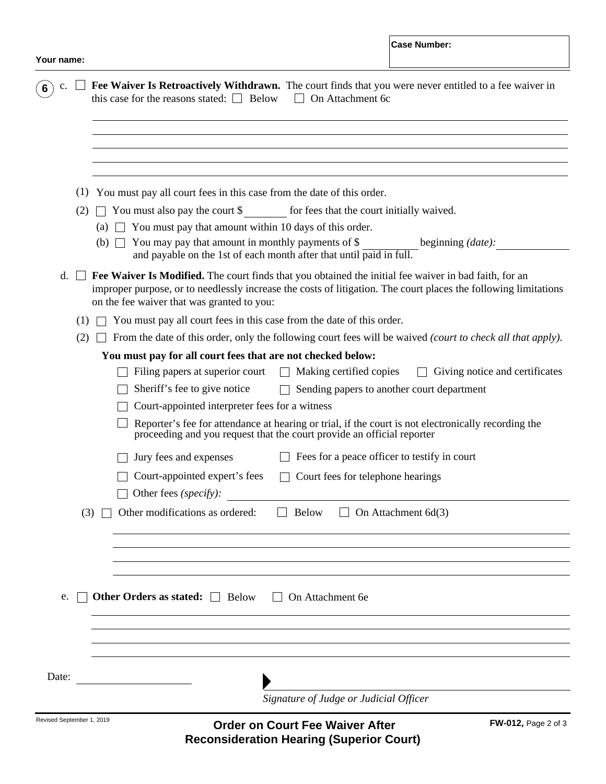|       | Signature of Judge or Judicial Officer                                                                                                                                                                                                                                                                                                                                                                                                                                                                                                                                                                                                                                                         |  |  |
|-------|------------------------------------------------------------------------------------------------------------------------------------------------------------------------------------------------------------------------------------------------------------------------------------------------------------------------------------------------------------------------------------------------------------------------------------------------------------------------------------------------------------------------------------------------------------------------------------------------------------------------------------------------------------------------------------------------|--|--|
| Date: |                                                                                                                                                                                                                                                                                                                                                                                                                                                                                                                                                                                                                                                                                                |  |  |
|       |                                                                                                                                                                                                                                                                                                                                                                                                                                                                                                                                                                                                                                                                                                |  |  |
|       |                                                                                                                                                                                                                                                                                                                                                                                                                                                                                                                                                                                                                                                                                                |  |  |
| e.    | Other Orders as stated: $\Box$ Below<br>On Attachment 6e                                                                                                                                                                                                                                                                                                                                                                                                                                                                                                                                                                                                                                       |  |  |
|       |                                                                                                                                                                                                                                                                                                                                                                                                                                                                                                                                                                                                                                                                                                |  |  |
|       |                                                                                                                                                                                                                                                                                                                                                                                                                                                                                                                                                                                                                                                                                                |  |  |
|       |                                                                                                                                                                                                                                                                                                                                                                                                                                                                                                                                                                                                                                                                                                |  |  |
|       | Other fees (specify):<br>Other modifications as ordered:<br>(3)<br><b>Below</b><br>On Attachment 6d(3)                                                                                                                                                                                                                                                                                                                                                                                                                                                                                                                                                                                         |  |  |
|       | Court-appointed expert's fees<br>Court fees for telephone hearings                                                                                                                                                                                                                                                                                                                                                                                                                                                                                                                                                                                                                             |  |  |
|       | Fees for a peace officer to testify in court<br>Jury fees and expenses                                                                                                                                                                                                                                                                                                                                                                                                                                                                                                                                                                                                                         |  |  |
|       | proceeding and you request that the court provide an official reporter                                                                                                                                                                                                                                                                                                                                                                                                                                                                                                                                                                                                                         |  |  |
|       | Sheriff's fee to give notice<br>Sending papers to another court department<br>Court-appointed interpreter fees for a witness<br>Reporter's fee for attendance at hearing or trial, if the court is not electronically recording the                                                                                                                                                                                                                                                                                                                                                                                                                                                            |  |  |
|       |                                                                                                                                                                                                                                                                                                                                                                                                                                                                                                                                                                                                                                                                                                |  |  |
|       | Filing papers at superior court<br>Making certified copies<br>Giving notice and certificates<br>$\Box$                                                                                                                                                                                                                                                                                                                                                                                                                                                                                                                                                                                         |  |  |
|       | From the date of this order, only the following court fees will be waived (court to check all that apply).<br>(2)<br>You must pay for all court fees that are not checked below:                                                                                                                                                                                                                                                                                                                                                                                                                                                                                                               |  |  |
|       |                                                                                                                                                                                                                                                                                                                                                                                                                                                                                                                                                                                                                                                                                                |  |  |
|       | You must pay all court fees in this case from the date of this order.<br>(1)                                                                                                                                                                                                                                                                                                                                                                                                                                                                                                                                                                                                                   |  |  |
|       | (1) You must pay all court fees in this case from the date of this order.<br>You must also pay the court \$ for fees that the court initially waived.<br>(2)<br>$\Box$ You must pay that amount within 10 days of this order.<br>(a)<br>You may pay that amount in monthly payments of \$<br>beginning <i>(date)</i> :<br>(b)<br>and payable on the 1st of each month after that until paid in full.<br>Fee Waiver Is Modified. The court finds that you obtained the initial fee waiver in bad faith, for an<br>$d.$ $\perp$<br>improper purpose, or to needlessly increase the costs of litigation. The court places the following limitations<br>on the fee waiver that was granted to you: |  |  |
|       |                                                                                                                                                                                                                                                                                                                                                                                                                                                                                                                                                                                                                                                                                                |  |  |
|       |                                                                                                                                                                                                                                                                                                                                                                                                                                                                                                                                                                                                                                                                                                |  |  |
|       |                                                                                                                                                                                                                                                                                                                                                                                                                                                                                                                                                                                                                                                                                                |  |  |
|       |                                                                                                                                                                                                                                                                                                                                                                                                                                                                                                                                                                                                                                                                                                |  |  |
|       |                                                                                                                                                                                                                                                                                                                                                                                                                                                                                                                                                                                                                                                                                                |  |  |
|       |                                                                                                                                                                                                                                                                                                                                                                                                                                                                                                                                                                                                                                                                                                |  |  |
|       |                                                                                                                                                                                                                                                                                                                                                                                                                                                                                                                                                                                                                                                                                                |  |  |
|       |                                                                                                                                                                                                                                                                                                                                                                                                                                                                                                                                                                                                                                                                                                |  |  |
|       |                                                                                                                                                                                                                                                                                                                                                                                                                                                                                                                                                                                                                                                                                                |  |  |

**Reconsideration Hearing (Superior Court)**